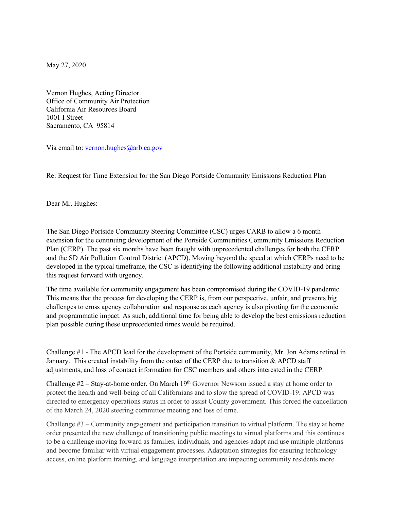May 27, 2020

Vernon Hughes, Acting Director Office of Community Air Protection California Air Resources Board 1001 I Street Sacramento, CA 95814

Via email to: [vernon.hughes@arb.ca.gov](mailto:vernon.hughes@arb.ca.gov)

Re: Request for Time Extension for the San Diego Portside Community Emissions Reduction Plan

Dear Mr. Hughes:

The San Diego Portside Community Steering Committee (CSC) urges CARB to allow a 6 month extension for the continuing development of the Portside Communities Community Emissions Reduction Plan (CERP). The past six months have been fraught with unprecedented challenges for both the CERP and the SD Air Pollution Control District (APCD). Moving beyond the speed at which CERPs need to be developed in the typical timeframe, the CSC is identifying the following additional instability and bring this request forward with urgency.

The time available for community engagement has been compromised during the COVID-19 pandemic. This means that the process for developing the CERP is, from our perspective, unfair, and presents big challenges to cross agency collaboration and response as each agency is also pivoting for the economic and programmatic impact. As such, additional time for being able to develop the best emissions reduction plan possible during these unprecedented times would be required.

Challenge #1 - The APCD lead for the development of the Portside community, Mr. Jon Adams retired in January. This created instability from the outset of the CERP due to transition & APCD staff adjustments, and loss of contact information for CSC members and others interested in the CERP.

Challenge  $#2$  – Stay-at-home order. On March 19<sup>th</sup> Governor Newsom issued a stay at home order to protect the health and well-being of all Californians and to slow the spread of COVID-19. APCD was directed to emergency operations status in order to assist County government. This forced the cancellation of the March 24, 2020 steering committee meeting and loss of time.

Challenge #3 – Community engagement and participation transition to virtual platform. The stay at home order presented the new challenge of transitioning public meetings to virtual platforms and this continues to be a challenge moving forward as families, individuals, and agencies adapt and use multiple platforms and become familiar with virtual engagement processes. Adaptation strategies for ensuring technology access, online platform training, and language interpretation are impacting community residents more